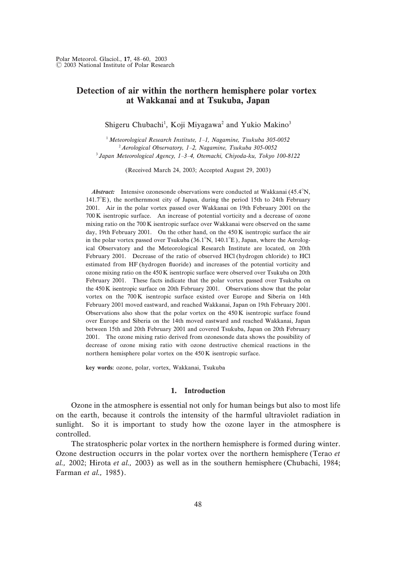## Detection of air within the northern hemisphere polar vortex at Wakkanai and at Tsukuba, Japan

Shigeru Chubachi<sup>1</sup>, Koji Miyagawa<sup>2</sup> and Yukio Makino<sup>3</sup>

 $^1$  Meteorological Research Institute, 1-1, Nagamine, Tsukuba 305-0052  $^{2}$  Aerological Observatory, 1-2, Nagamine, Tsukuba 305-0052  $3$  Japan Meteorological Agency, 1-3-4, Otemachi, Chiyoda-ku, Tokyo 100-8122

(Received March 24, 2003; Accepted August 29, 2003)

**Abstract:** Intensive ozonesonde observations were conducted at Wakkanai  $(45.4^{\circ}N,$  $141.7^{\circ}$ E), the northernmost city of Japan, during the period 15th to 24th February 2001. Air in the polar vortex passed over Wakkanai on 19th February 2001 on the 700 K isentropic surface. An increase of potential vorticity and a decrease of ozone mixing ratio on the 700 K isentropic surface over Wakkanai were observed on the same day, 19th February 2001. On the other hand, on the 450 K isentropic surface the air in the polar vortex passed over Tsukuba  $(36.1^{\circ}N, 140.1^{\circ}E)$ , Japan, where the Aerological Observatory and the Meteorological Research Institute are located, on 20th February 2001. Decrease of the ratio of observed HCl (hydrogen chloride) to HCl estimated from HF (hydrogen fluoride) and increases of the potential vorticity and ozone mixing ratio on the  $450 K$  isentropic surface were observed over Tsukuba on 20th February 2001. These facts indicate that the polar vortex passed over Tsukuba on the  $450K$  isentropic surface on 20th February 2001. Observations show that the polar vortex on the 700K isentropic surface existed over Europe and Siberia on 14th February 2001 moved eastward, and reached Wakkanai, Japan on 19th February 2001. Observations also show that the polar vortex on the  $450 K$  isentropic surface found over Europe and Siberia on the 14th moved eastward and reached Wakkanai, Japan between 15th and 20th February 2001 and covered Tsukuba, Japan on 20th February 2001. The ozone mixing ratio derived from ozonesonde data shows the possibility of decrease of ozone mixing ratio with ozone destructive chemical reactions in the northern hemisphere polar vortex on the  $450\,\mathrm{K}$  isentropic surface.

key words: ozone, polar, vortex, Wakkanai, Tsukuba

#### 1. Introduction

Ozone in the atmosphere is essential not only for human beings but also to most life on the earth, because it controls the intensity of the harmful ultraviolet radiation in sunlight. So it is important to study how the ozone layer in the atmosphere is controlled.

The stratospheric polar vortex in the northern hemisphere is formed during winter. Ozone destruction occurrs in the polar vortex over the northern hemisphere (Terao et al., 2002; Hirota et al., 2003) as well as in the southern hemisphere (Chubachi,  $1984$ ; Farman et al., 1985).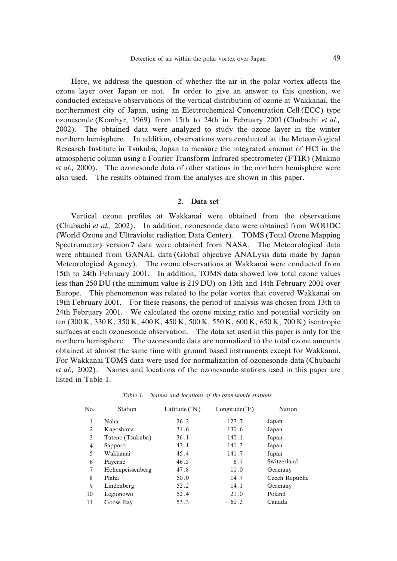Here, we address the question of whether the air in the polar vortex affects the ozone layer over Japan or not. In order to give an answer to this question, we conducted extensive observations of the vertical distribution of ozone at Wakkanai, the northernmost city of Japan, using an Electrochemical Concentration Cell (ECC) type ozonesonde (Komhyr,  $1969$ ) from 15th to 24th in February 2001 (Chubachi et al., 2002). The obtained data were analyzed to study the ozone layer in the winter northern hemisphere. In addition, observations were conducted at the Meteorological Research Institute in Tsukuba, Japan to measure the integrated amount of HCl in the atmospheric column using a Fourier Transform Infrared spectrometer (FTIR) (Makino et al., 2000). The ozonesonde data of other stations in the northern hemisphere were also used. The results obtained from the analyses are shown in this paper.

#### 2. Data set

Vertical ozone profiles at Wakkanai were obtained from the observations (Chubachi et al., 2002). In addition, ozonesonde data were obtained from WOUDC (World Ozone and Ultraviolet radiation Data Center). TOMS (Total Ozone Mapping Spectrometer) version 7 data were obtained from NASA. The Meteorological data were obtained from GANAL data (Global objective ANALysis data made by Japan Meteorological Agency). The ozone observations at Wakkanai were conducted from 15th to 24th February 2001. In addition, TOMS data showed low total ozone values less than  $250$  DU (the minimum value is  $219$  DU) on  $13th$  and  $14th$  February  $2001$  over Europe. This phenomenon was related to the polar vortex that covered Wakkanai on 19th February 2001. For these reasons, the period of analysis was chosen from 13th to 24th February 2001. We calculated the ozone mixing ratio and potential vorticity on ten (300 K, 330 K, 350 K, 400 K, 450 K, 500 K, 550 K, 600 K, 650 K, 700 K) isentropic surfaces at each ozonesonde observation. The data set used in this paper is only for the northern hemisphere. The ozonesonde data are normalized to the total ozone amounts obtained at almost the same time with ground based instruments except for Wakkanai. For Wakkanai TOMS data were used for normalization of ozonesonde data (Chubachi et al., 2002). Names and locations of the ozonesonde stations used in this paper are listed in Table 1.

| No. | Station          | Latitude $({}^{\circ}N)$ | Longitude( ${}^{\circ}E$ ) | Nation         |
|-----|------------------|--------------------------|----------------------------|----------------|
| 1   | Naha             | 26.2                     | 127.7                      | Japan          |
| 2   | Kagoshima        | 31.6                     | 130.6                      | Japan          |
| 3   | Tateno (Tsukuba) | 36.1                     | 140.1                      | Japan          |
| 4   | Sapporo          | 43.1                     | 141.3                      | Japan          |
| 5   | Wakkanai         | 45.4                     | 141.7                      | Japan          |
| 6   | Payerne          | 46.5                     | 6.7                        | Switzerland    |
| 7   | Hohenpeissenberg | 47.8                     | 11.0                       | Germany        |
| 8   | Plaha            | 50.0                     | 14.7                       | Czech Republic |
| 9   | Lindenberg       | 52.2                     | 14.1                       | Germany        |
| 10  | Legionowo        | 52.4                     | 21.0                       | Poland         |
| 11  | Goose Bay        | 53.3                     | $-60.3$                    | Canada         |
|     |                  |                          |                            |                |

Table 1. Names and locations of the ozonesonde stations.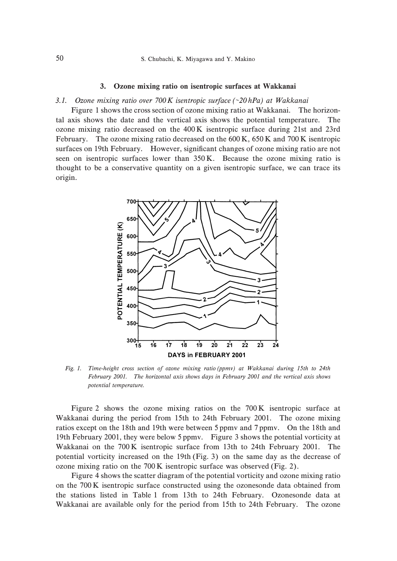#### 3. Ozone mixing ratio on isentropic surfaces at Wakkanai

#### 3.1. Ozone mixing ratio over  $700K$  isentropic surface (~20 hPa) at Wakkanai

Figure 1 shows the cross section of ozone mixing ratio at Wakkanai. The horizontal axis shows the date and the vertical axis shows the potential temperature. The ozone mixing ratio decreased on the  $400K$  isentropic surface during  $21st$  and  $23rd$ February. The ozone mixing ratio decreased on the  $600K$ ,  $650K$  and  $700K$  isentropic surfaces on 19th February. However, significant changes of ozone mixing ratio are not seen on isentropic surfaces lower than  $350K$ . Because the ozone mixing ratio is thought to be a conservative quantity on a given isentropic surface, we can trace its origin.



Fig. 1. Time-height cross section of ozone mixing ratio (ppmv) at Wakkanai during 15th to 24th February 2001. The horizontal axis shows days in February 2001 and the vertical axis shows potential temperature.

Figure 2 shows the ozone mixing ratios on the  $700K$  isentropic surface at Wakkanai during the period from 15th to 24th February 2001. The ozone mixing ratios except on the 18th and 19th were between 5 ppmy and 7 ppmy. On the 18th and 19th February 2001, they were below 5 ppmv. Figure 3 shows the potential vorticity at Wakkanai on the  $700K$  isentropic surface from 13th to 24th February 2001. The potential vorticity increased on the  $19th$  (Fig. 3) on the same day as the decrease of ozone mixing ratio on the  $700 K$  isentropic surface was observed (Fig. 2).

Figure 4 shows the scatter diagram of the potential vorticity and ozone mixing ratio on the  $700\,\mathrm{K}$  isentropic surface constructed using the ozonesonde data obtained from the stations listed in Table 1 from 13th to 24th February. Ozonesonde data at Wakkanai are available only for the period from 15th to 24th February. The ozone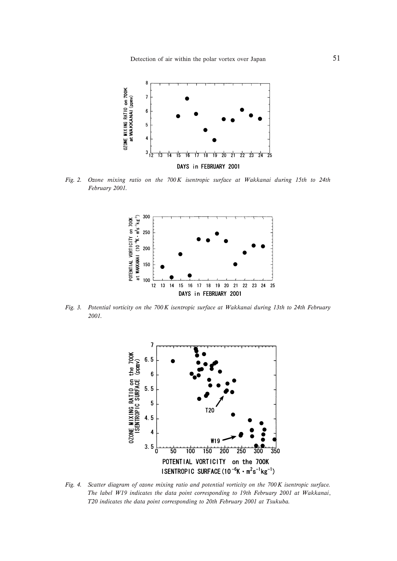Detection of air within the polar vortex over Japan 51



Fig. 2. Ozone mixing ratio on the 700K isentropic surface at Wakkanai during 15th to 24th February 2001.



Fig. 3. Potential vorticity on the  $700K$  isentropic surface at Wakkanai during 13th to 24th February 2001.



Fig. 4. Scatter diagram of ozone mixing ratio and potential vorticity on the 700K isentropic surface. The label W19 indicates the data point corresponding to 19th February 2001 at Wakkanai, T20 indicates the data point corresponding to 20th February 2001 at Tsukuba.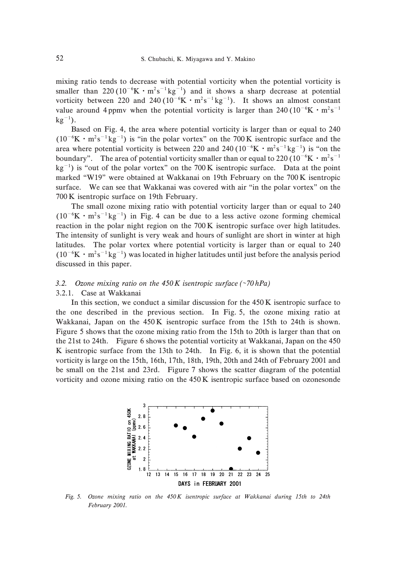mixing ratio tends to decrease with potential vorticity when the potential vorticity is smaller than 220 ( $10^{-6}$ K · m<sup>2</sup>s<sup>-1</sup> kg<sup>-1</sup>) and it shows a sharp decrease at potential vorticity between 220 and 240 ( $10^{-6}$ K · m<sup>2</sup>s<sup>-1</sup> kg<sup>-1</sup>). It shows an almost constant value around 4 ppmv when the potential vorticity is larger than 240 ( $10^{-6}$ K  $\cdot$  m<sup>2</sup>s<sup>-1</sup>  $kg^{-1}$ ).

Based on Fig. 4, the area where potential vorticity is larger than or equal to  $240$  $(10^{-6}$ K · m<sup>2</sup>s<sup>-1</sup> kg<sup>-1</sup>) is "in the polar vortex" on the 700 K isentropic surface and the area where potential vorticity is between 220 and 240 ( $10^{-6}$ K  $\cdot$  m<sup>2</sup>s<sup>-1</sup> kg<sup>-1</sup>) is "on the boundary". The area of potential vorticity smaller than or equal to 220 ( $10^{-6}$ K  $\cdot$  m<sup>2</sup>s<sup>-1</sup>  $kg^{-1}$ ) is "out of the polar vortex" on the 700 K isentropic surface. Data at the point marked "W19" were obtained at Wakkanai on 19th February on the  $700 K$  isentropic surface. We can see that Wakkanai was covered with air "in the polar vortex" on the 700 K isentropic surface on 19th February.

The small ozone mixing ratio with potential vorticity larger than or equal to 240  $(10^{-6}$ K · m<sup>2</sup>s<sup>-1</sup> kg<sup>-1</sup>) in Fig. 4 can be due to a less active ozone forming chemical reaction in the polar night region on the  $700K$  isentropic surface over high latitudes. The intensity of sunlight is very weak and hours of sunlight are short in winter at high latitudes. The polar vortex where potential vorticity is larger than or equal to  $240$  $(10^{-6}$ K · m<sup>2</sup>s<sup>-1</sup> kg<sup>-1</sup>) was located in higher latitudes until just before the analysis period discussed in this paper.

# 3.2. Ozone mixing ratio on the  $450K$  isentropic surface (~70 hPa) 3.2.1. Case at Wakkanai

In this section, we conduct a similar discussion for the  $450 K$  isentropic surface to the one described in the previous section. In Fig.  $5$ , the ozone mixing ratio at Wakkanai, Japan on the  $450K$  isentropic surface from the 15th to 24th is shown. Figure 5 shows that the ozone mixing ratio from the  $15th$  to  $20th$  is larger than that on the  $21st$  to  $24th$ . Figure 6 shows the potential vorticity at Wakkanai, Japan on the  $450$ K is entropic surface from the  $13th$  to  $24th$ . In Fig. 6, it is shown that the potential vorticity is large on the  $15th$ ,  $16th$ ,  $17th$ ,  $18th$ ,  $19th$ ,  $20th$  and  $24th$  of February  $2001$  and be small on the 21st and 23rd. Figure 7 shows the scatter diagram of the potential vorticity and ozone mixing ratio on the  $450 K$  isentropic surface based on ozonesonde



Fig. 5. Ozone mixing ratio on the  $450K$  isentropic surface at Wakkanai during 15th to 24th February 2001.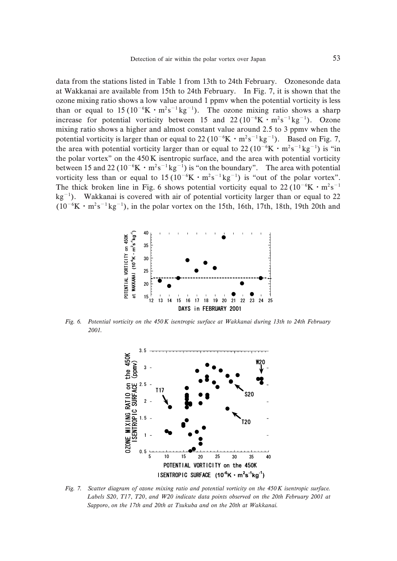data from the stations listed in Table 1 from 13th to 24th February. Ozonesonde data at Wakkanai are available from 15th to 24th February. In Fig. 7, it is shown that the ozone mixing ratio shows a low value around + ppmv when the potential vorticity is less than or equal to  $15(10^{-6}K \cdot m^2 s^{-1} kg^{-1})$ . The ozone mixing ratio shows a sharp increase for potential vorticity between 15 and  $22(10^{-6} \text{K} \cdot \text{m}^2 \text{s}^{-1} \text{kg}^{-1})$ . Ozone mixing ratio shows a higher and almost constant value around  $2.5$  to  $3$  ppmv when the potential vorticity is larger than or equal to 22 ( $10^{-6}$ K  $\cdot$  m<sup>2</sup>s<sup>-1</sup> kg<sup>-1</sup>). Based on Fig. 7, the area with potential vorticity larger than or equal to  $22(10^{-6}$ K  $\cdot$  m<sup>2</sup>s<sup>-1</sup> kg<sup>-1</sup>) is "in the polar vortex" on the  $450K$  isentropic surface, and the area with potential vorticity between 15 and 22 ( $10^{-6}$ K  $\cdot$  m<sup>2</sup>s<sup>-1</sup> kg<sup>-1</sup>) is "on the boundary". The area with potential vorticity less than or equal to  $15(10^{-6}K \cdot m^2 s^{-1} kg^{-1})$  is "out of the polar vortex". The thick broken line in Fig. 6 shows potential vorticity equal to  $22 (10^{-6} \text{K} \cdot \text{m}^2 \text{s}^{-1})$  $kg^{-1}$ ). Wakkanai is covered with air of potential vorticity larger than or equal to 22  $(10^{-6}$ K  $\cdot$  m<sup>2</sup>s<sup>-1</sup> kg<sup>-1</sup>), in the polar vortex on the 15th, 16th, 17th, 18th, 19th 20th and



Fig. 6. Potential vorticity on the  $450K$  isentropic surface at Wakkanai during 13th to 24th February 2001.



Fig. 7. Scatter diagram of ozone mixing ratio and potential vorticity on the  $450K$  isentropic surface. Labels S20, T17, T20, and W20 indicate data points observed on the 20th February 2001 at Sapporo, on the 17th and 20th at Tsukuba and on the 20th at Wakkanai.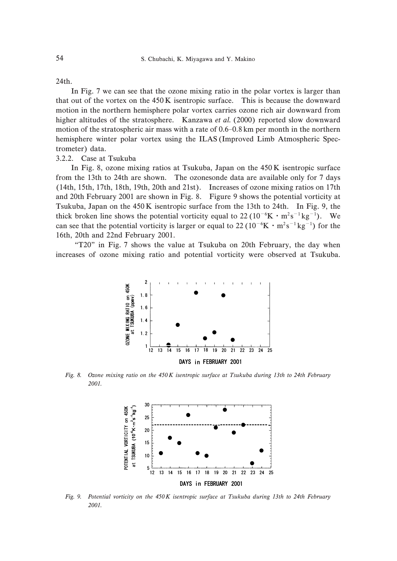$24th$ 

In Fig. 7 we can see that the ozone mixing ratio in the polar vortex is larger than that out of the vortex on the  $450K$  isentropic surface. This is because the downward motion in the northern hemisphere polar vortex carries ozone rich air downward from higher altitudes of the stratosphere. Kanzawa et al.  $(2000)$  reported slow downward motion of the stratospheric air mass with a rate of  $0.6-0.8$  km per month in the northern hemisphere winter polar vortex using the ILAS (Improved Limb Atmospheric Spectrometer) data.

#### 3.2.2. Case at Tsukuba

In Fig. 8, ozone mixing ratios at Tsukuba, Japan on the  $450K$  isentropic surface from the 13th to 24th are shown. The ozonesonde data are available only for 7 days  $(14th, 15th, 17th, 18th, 19th, 20th, and 21st)$ . Increases of ozone mixing ratios on 17th and 20th February 2001 are shown in Fig. 8. Figure 9 shows the potential vorticity at Tsukuba, Japan on the  $450K$  isentropic surface from the 13th to 24th. In Fig. 9, the thick broken line shows the potential vorticity equal to  $22(10^{-6}K \cdot m^2s^{-1}kg^{-1})$ . We can see that the potential vorticity is larger or equal to  $22(10^{-6}K \cdot m^2 s^{-1} kg^{-1})$  for the 16th, 20th and 22nd February 2001.

"T20" in Fig. 7 shows the value at Tsukuba on 20th February, the day when increases of ozone mixing ratio and potential vorticity were observed at Tsukuba.



Fig. 8. Ozone mixing ratio on the 450 K isentropic surface at Tsukuba during 13th to 24th February 2001.



Fig. 9. Potential vorticity on the  $450K$  isentropic surface at Tsukuba during 13th to 24th February 2001.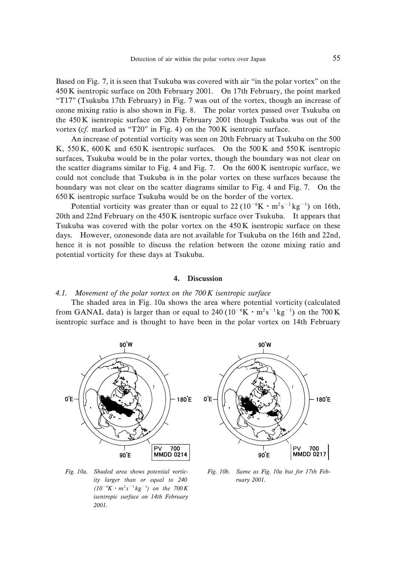Based on Fig. 7, it is seen that Tsukuba was covered with air "in the polar vortex" on the 450 K isentropic surface on 20th February 2001. On 17th February, the point marked "T17" (Tsukuba 17th February) in Fig. 7 was out of the vortex, though an increase of ozone mixing ratio is also shown in Fig. 2. The polar vortex passed over Tsukuba on the  $450K$  isentropic surface on 20th February 2001 though Tsukuba was out of the vortex (cf. marked as "T20" in Fig. 4) on the 700 K isentropic surface.

An increase of potential vorticity was seen on 20th February at Tsukuba on the 500 K,  $550K$ ,  $600K$  and  $650K$  isentropic surfaces. On the  $500K$  and  $550K$  isentropic surfaces, Tsukuba would be in the polar vortex, though the boundary was not clear on the scatter diagrams similar to Fig. 4 and Fig. 7. On the  $600K$  isentropic surface, we could not conclude that Tsukuba is in the polar vortex on these surfaces because the boundary was not clear on the scatter diagrams similar to Fig. 4 and Fig. 7. On the 650 K isentropic surface Tsukuba would be on the border of the vortex.

Potential vorticity was greater than or equal to  $22(10^{-6}K \cdot m^2 s^{-1} kg^{-1})$  on 16th, 20th and 22nd February on the  $450 K$  isentropic surface over Tsukuba. It appears that Tsukuba was covered with the polar vortex on the  $450K$  isentropic surface on these days. However, ozonesonde data are not available for Tsukuba on the 16th and 22nd, hence it is not possible to discuss the relation between the ozone mixing ratio and potential vorticity for these days at Tsukuba.

#### 4. Discussion

### 4.1. Movement of the polar vortex on the  $700K$  isentropic surface

The shaded area in Fig. 10a shows the area where potential vorticity (calculated from GANAL data) is larger than or equal to 240 ( $10^{-6}$ K  $\cdot$  m<sup>2</sup>s<sup>-1</sup>kg<sup>-1</sup>) on the 700 K isentropic surface and is thought to have been in the polar vortex on 14th February



Fig. 10a. Shaded area shows potential vorticity larger than or equal to  $240$  $(10^{-6}K \cdot m^2 s^{-1} kg^{-1})$  on the 700 K isentropic surface on 14th February 2001.

Fig. 10b. Same as Fig. 10a but for 17th February 2001.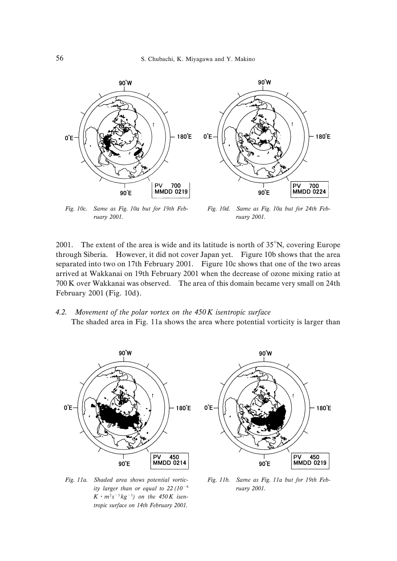

Fig. 10c. Same as Fig. 10a but for 19th February 2001.

Fig. 10d. Same as Fig. 10a but for 24th February 2001.

2001. The extent of the area is wide and its latitude is north of  $35^\circ N$ , covering Europe through Siberia. However, it did not cover Japan yet. Figure 10b shows that the area separated into two on 17th February 2001. Figure 10c shows that one of the two areas arrived at Wakkanai on 19th February 2001 when the decrease of ozone mixing ratio at 700 K over Wakkanai was observed. The area of this domain became very small on 24th February  $2001$  (Fig.  $10d$ ).

4.2. Movement of the polar vortex on the  $450K$  isentropic surface The shaded area in Fig. 11a shows the area where potential vorticity is larger than



Fig. 11a. Shaded area shows potential vorticity larger than or equal to 22 (10 $^{\rm -6}$  $K \cdot m^2 s^{-1} kg^{-1}$ ) on the 450K isentropic surface on 14th February 2001.

Fig. 11b. Same as Fig. 11a but for 19th February 2001.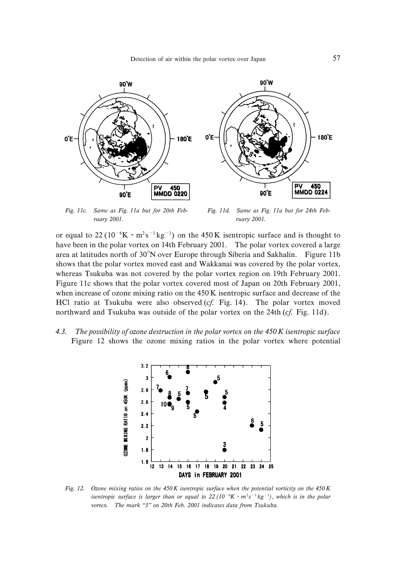

Fig. 11c. Same as Fig. 11a but for 20th February 2001.

Fig. 11d. Same as Fig. 11a but for 24th February 2001.

or equal to 22 ( $10^{-6}$ K · m<sup>2</sup>s<sup>-1</sup> kg<sup>-1</sup>) on the 450 K isentropic surface and is thought to have been in the polar vortex on 14th February 2001. The polar vortex covered a large area at latitudes north of  $30^{\circ}$ N over Europe through Siberia and Sakhalin. Figure 11b shows that the polar vortex moved east and Wakkanai was covered by the polar vortex, whereas Tsukuba was not covered by the polar vortex region on 19th February 2001. Figure 11c shows that the polar vortex covered most of Japan on 20th February 2001, when increase of ozone mixing ratio on the  $450 K$  isentropic surface and decrease of the HCl ratio at Tsukuba were also observed  $(cf.$  Fig. 14). The polar vortex moved northward and Tsukuba was outside of the polar vortex on the 24th  $(cf. Fig. 11d)$ .

4.3. The possibility of ozone destruction in the polar vortex on the  $450K$  isentropic surface Figure 12 shows the ozone mixing ratios in the polar vortex where potential



Fig. 12. Ozone mixing ratios on the  $450K$  isentropic surface when the potential vorticity on the  $450K$ isentropic surface is larger than or equal to 22  $(10^{-6}K \cdot m^2 s^{-1} kg^{-1})$ , which is in the polar vortex. The mark "3" on 20th Feb. 2001 indicates data from Tsukuba.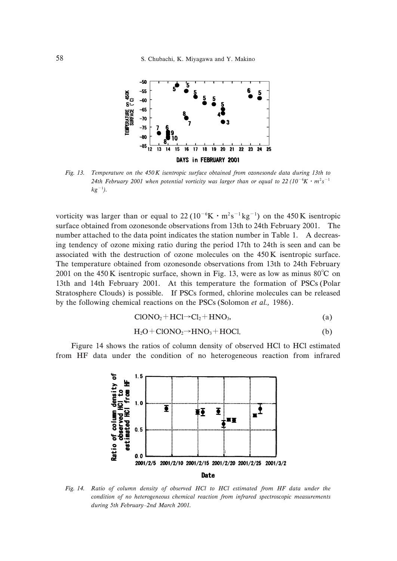

Fig. 13. Temperature on the  $450K$  isentropic surface obtained from ozonesonde data during 13th to 24th February 2001 when potential vorticity was larger than or equal to 22 (10<sup>-6</sup>K  $\cdot$  m<sup>2</sup>s<sup>-1</sup>  $kg^{-1}$ ).

vorticity was larger than or equal to  $22(10^{-6}K \cdot m^2 s^{-1} kg^{-1})$  on the 450 K isentropic surface obtained from ozonesonde observations from 13th to 24th February 2001. The number attached to the data point indicates the station number in Table 1. A decreasing tendency of ozone mixing ratio during the period 17th to 24th is seen and can be associated with the destruction of ozone molecules on the  $450K$  isentropic surface. The temperature obtained from ozonesonde observations from 13th to 24th February 2001 on the  $450 \text{ K}$  isentropic surface, shown in Fig. 13, were as low as minus  $80^{\circ}$ C on 13th and 14th February 2001. At this temperature the formation of PSCs (Polar Stratosphere Clouds) is possible. If PSCs formed, chlorine molecules can be released by the following chemical reactions on the PSCs (Solomon *et al.*, 1986).

$$
CIONO2 + HCl \rightarrow Cl2 + HNO3,
$$
\n
$$
(a)
$$

$$
H_2O + ClONO_2 \rightarrow HNO_3 + H OCl. \tag{b}
$$

Figure 14 shows the ratios of column density of observed HCl to HCl estimated from HF data under the condition of no heterogeneous reaction from infrared



Fig. 14. Ratio of column density of observed HCl to HCl estimated from HF data under the condition of no heterogeneous chemical reaction from infrared spectroscopic measurements during 5th February-2nd March 2001.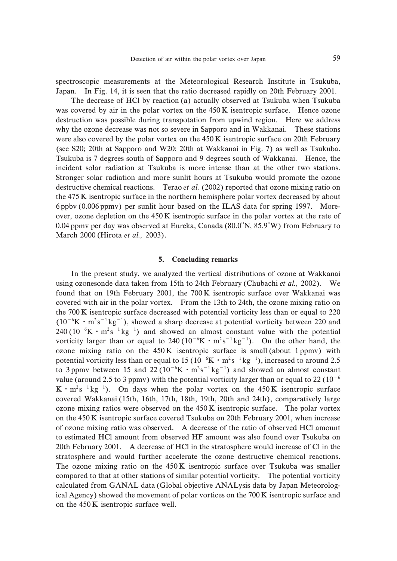spectroscopic measurements at the Meteorological Research Institute in Tsukuba, Japan. In Fig. 14, it is seen that the ratio decreased rapidly on 20th February 2001.

The decrease of HCl by reaction (a) actually observed at Tsukuba when Tsukuba was covered by air in the polar vortex on the  $450K$  isentropic surface. Hence ozone destruction was possible during transpotation from upwind region. Here we address why the ozone decrease was not so severe in Sapporo and in Wakkanai. These stations were also covered by the polar vortex on the  $450 K$  isentropic surface on 20th February (see S20; 20th at Sapporo and W20; 20th at Wakkanai in Fig. 7) as well as Tsukuba. Tsukuba is 1 degrees south of Sapporo and 3 degrees south of Wakkanai. Hence, the incident solar radiation at Tsukuba is more intense than at the other two stations. Stronger solar radiation and more sunlit hours at Tsukuba would promote the ozone destructive chemical reactions. Terao et al.  $(2002)$  reported that ozone mixing ratio on the 475 K isentropic surface in the northern hemisphere polar vortex decreased by about 6 ppbv (0.006 ppmv) per sunlit hour based on the ILAS data for spring 1997. Moreover, ozone depletion on the  $450K$  isentropic surface in the polar vortex at the rate of 0.04 ppmv per day was observed at Eureka, Canada ( $80.0^{\circ}$ N,  $85.9^{\circ}$ W) from February to March 2000 (Hirota et al., 2003).

#### 5. Concluding remarks

In the present study, we analyzed the vertical distributions of ozone at Wakkanai using ozonesonde data taken from 15th to 24th February (Chubachi et al., 2002). We found that on 19th February 2001, the  $700K$  isentropic surface over Wakkanai was covered with air in the polar vortex. From the 13th to 24th, the ozone mixing ratio on the  $700K$  isentropic surface decreased with potential vorticity less than or equal to  $220$  $(10^{-6}$ K · m<sup>2</sup>s<sup>-1</sup> kg<sup>-1</sup>), showed a sharp decrease at potential vorticity between 220 and  $240(10^{-6}$ K · m<sup>2</sup>s<sup>-1</sup> kg<sup>-1</sup>) and showed an almost constant value with the potential vorticity larger than or equal to 240 ( $10^{-6}$ K  $\cdot$  m<sup>2</sup>s<sup>-1</sup> kg<sup>-1</sup>). On the other hand, the ozone mixing ratio on the  $450K$  isentropic surface is small (about 1 ppmv) with potential vorticity less than or equal to 15 ( $10^{-6}$ K  $\cdot$  m<sup>2</sup>s<sup>-1</sup> kg<sup>-1</sup>), increased to around 2.5 to 3 ppmv between 15 and 22 ( $10^{-6}$ K  $\cdot$  m<sup>2</sup>s<sup>-1</sup> kg<sup>-1</sup>) and showed an almost constant value (around 2.5 to 3 ppmv) with the potential vorticity larger than or equal to 22 ( $10^{-6}$ )  $K \cdot m^2 s^{-1} kg^{-1}$ ). On days when the polar vortex on the 450 K isentropic surface covered Wakkanai (15th, 16th, 17th, 18th, 19th, 20th and 24th), comparatively large ozone mixing ratios were observed on the  $450K$  isentropic surface. The polar vortex on the  $450$  K isentropic surface covered Tsukuba on 20th February 2001, when increase of ozone mixing ratio was observed. A decrease of the ratio of observed HCl amount to estimated HCl amount from observed HF amount was also found over Tsukuba on 20th February 2001. A decrease of HCl in the stratosphere would increase of Cl in the stratosphere and would further accelerate the ozone destructive chemical reactions. The ozone mixing ratio on the  $450K$  isentropic surface over Tsukuba was smaller compared to that at other stations of similar potential vorticity. The potential vorticity calculated from GANAL data (Global objective ANALysis data by Japan Meteorological Agency) showed the movement of polar vortices on the  $700 \text{ K}$  isentropic surface and on the  $450 K$  isentropic surface well.